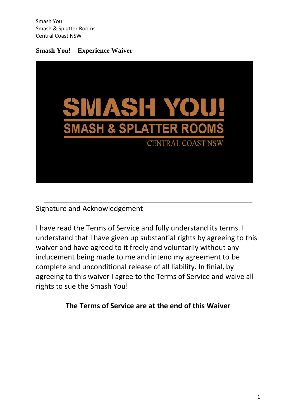**Smash You! – Experience Waiver**



Signature and Acknowledgement

I have read the Terms of Service and fully understand its terms. I understand that I have given up substantial rights by agreeing to this waiver and have agreed to it freely and voluntarily without any inducement being made to me and intend my agreement to be complete and unconditional release of all liability. In finial, by agreeing to this waiver I agree to the Terms of Service and waive all rights to sue the Smash You!

**The Terms of Service are at the end of this Waiver**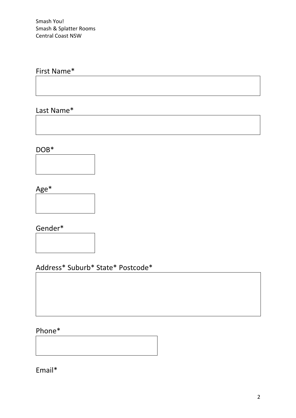# First Name\*

Last Name\*

DOB\*



Age\*



Gender\*

Address\* Suburb\* State\* Postcode\*

# Phone\*

Email\*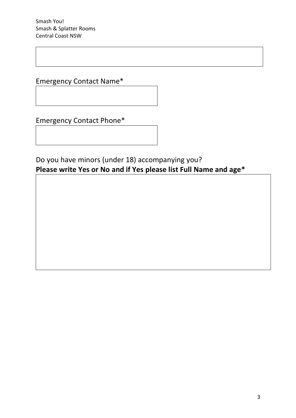Emergency Contact Name\*

Emergency Contact Phone\*

Do you have minors (under 18) accompanying you? **Please write Yes or No and if Yes please list Full Name and age\***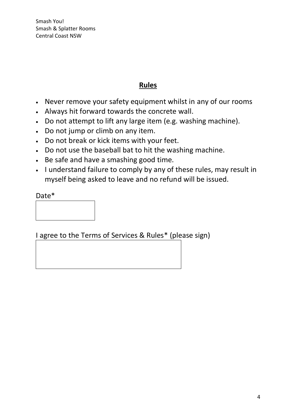# **Rules**

- Never remove your safety equipment whilst in any of our rooms
- Always hit forward towards the concrete wall.
- Do not attempt to lift any large item (e.g. washing machine).
- Do not jump or climb on any item.
- Do not break or kick items with your feet.
- Do not use the baseball bat to hit the washing machine.
- Be safe and have a smashing good time.
- I understand failure to comply by any of these rules, may result in myself being asked to leave and no refund will be issued.

Date\*

| ---- |  |  |
|------|--|--|
|      |  |  |
|      |  |  |
|      |  |  |
|      |  |  |
|      |  |  |
|      |  |  |
|      |  |  |

I agree to the Terms of Services & Rules\* (please sign)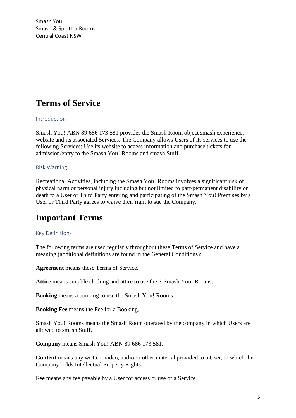# **Terms of Service**

## Introduction

Smash You! ABN 89 686 173 581 provides the Smash Room object smash experience, website and its associated Services. The Company allows Users of its services to use the following Services: Use its website to access information and purchase tickets for admission/entry to the Smash You! Rooms and smash Stuff.

#### Risk Warning

Recreational Activities, including the Smash You! Rooms involves a significant risk of physical harm or personal injury including but not limited to part/permanent disability or death to a User or Third Party entering and participating of the Smash You! Premises by a User or Third Party agrees to waive their right to sue the Company.

# **Important Terms**

#### Key Definitions

The following terms are used regularly throughout these Terms of Service and have a meaning (additional definitions are found in the General Conditions):

**Agreement** means these Terms of Service.

**Attire** means suitable clothing and attire to use the S Smash You! Rooms.

**Booking** means a booking to use the Smash You! Rooms.

**Booking Fee** means the Fee for a Booking.

Smash You! Rooms means the Smash Room operated by the company in which Users are allowed to smash Stuff.

**Company** means Smash You! ABN 89 686 173 581.

**Content** means any written, video, audio or other material provided to a User, in which the Company holds Intellectual Property Rights.

**Fee** means any fee payable by a User for access or use of a Service.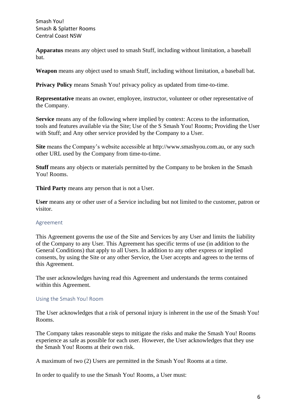**Apparatus** means any object used to smash Stuff, including without limitation, a baseball bat.

**Weapon** means any object used to smash Stuff, including without limitation, a baseball bat.

**Privacy Policy** means Smash You! privacy policy as updated from time-to-time.

**Representative** means an owner, employee, instructor, volunteer or other representative of the Company.

**Service** means any of the following where implied by context: Access to the information, tools and features available via the Site; Use of the S Smash You! Rooms; Providing the User with Stuff; and Any other service provided by the Company to a User.

**Site** means the Company's website accessible at http://www.smashyou.com.au, or any such other URL used by the Company from time-to-time.

**Stuff** means any objects or materials permitted by the Company to be broken in the Smash You! Rooms.

**Third Party** means any person that is not a User.

**User** means any or other user of a Service including but not limited to the customer, patron or visitor.

#### Agreement

This Agreement governs the use of the Site and Services by any User and limits the liability of the Company to any User. This Agreement has specific terms of use (in addition to the General Conditions) that apply to all Users. In addition to any other express or implied consents, by using the Site or any other Service, the User accepts and agrees to the terms of this Agreement.

The user acknowledges having read this Agreement and understands the terms contained within this Agreement.

## Using the Smash You! Room

The User acknowledges that a risk of personal injury is inherent in the use of the Smash You! Rooms.

The Company takes reasonable steps to mitigate the risks and make the Smash You! Rooms experience as safe as possible for each user. However, the User acknowledges that they use the Smash You! Rooms at their own risk.

A maximum of two (2) Users are permitted in the Smash You! Rooms at a time.

In order to qualify to use the Smash You! Rooms, a User must: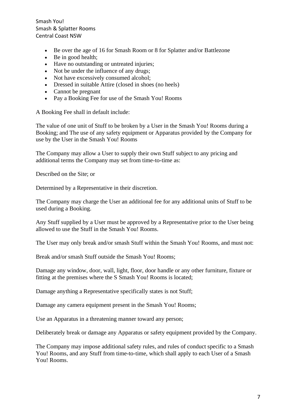- Be over the age of 16 for Smash Room or 8 for Splatter and/or Battlezone
- Be in good health;
- Have no outstanding or untreated injuries;
- Not be under the influence of any drugs:
- Not have excessively consumed alcohol;
- Dressed in suitable Attire (closed in shoes (no heels)
- Cannot be pregnant
- Pay a Booking Fee for use of the Smash You! Rooms

A Booking Fee shall in default include:

The value of one unit of Stuff to be broken by a User in the Smash You! Rooms during a Booking; and The use of any safety equipment or Apparatus provided by the Company for use by the User in the Smash You! Rooms

The Company may allow a User to supply their own Stuff subject to any pricing and additional terms the Company may set from time-to-time as:

Described on the Site; or

Determined by a Representative in their discretion.

The Company may charge the User an additional fee for any additional units of Stuff to be used during a Booking.

Any Stuff supplied by a User must be approved by a Representative prior to the User being allowed to use the Stuff in the Smash You! Rooms.

The User may only break and/or smash Stuff within the Smash You! Rooms, and must not:

Break and/or smash Stuff outside the Smash You! Rooms;

Damage any window, door, wall, light, floor, door handle or any other furniture, fixture or fitting at the premises where the S Smash You! Rooms is located;

Damage anything a Representative specifically states is not Stuff;

Damage any camera equipment present in the Smash You! Rooms;

Use an Apparatus in a threatening manner toward any person;

Deliberately break or damage any Apparatus or safety equipment provided by the Company.

The Company may impose additional safety rules, and rules of conduct specific to a Smash You! Rooms, and any Stuff from time-to-time, which shall apply to each User of a Smash You! Rooms.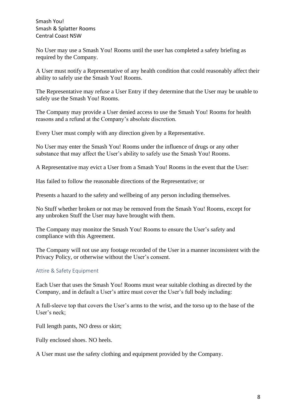No User may use a Smash You! Rooms until the user has completed a safety briefing as required by the Company.

A User must notify a Representative of any health condition that could reasonably affect their ability to safely use the Smash You! Rooms.

The Representative may refuse a User Entry if they determine that the User may be unable to safely use the Smash You! Rooms.

The Company may provide a User denied access to use the Smash You! Rooms for health reasons and a refund at the Company's absolute discretion.

Every User must comply with any direction given by a Representative.

No User may enter the Smash You! Rooms under the influence of drugs or any other substance that may affect the User's ability to safely use the Smash You! Rooms.

A Representative may evict a User from a Smash You! Rooms in the event that the User:

Has failed to follow the reasonable directions of the Representative; or

Presents a hazard to the safety and wellbeing of any person including themselves.

No Stuff whether broken or not may be removed from the Smash You! Rooms, except for any unbroken Stuff the User may have brought with them.

The Company may monitor the Smash You! Rooms to ensure the User's safety and compliance with this Agreement.

The Company will not use any footage recorded of the User in a manner inconsistent with the Privacy Policy, or otherwise without the User's consent.

#### Attire & Safety Equipment

Each User that uses the Smash You! Rooms must wear suitable clothing as directed by the Company, and in default a User's attire must cover the User's full body including:

A full-sleeve top that covers the User's arms to the wrist, and the torso up to the base of the User's neck;

Full length pants, NO dress or skirt;

Fully enclosed shoes. NO heels.

A User must use the safety clothing and equipment provided by the Company.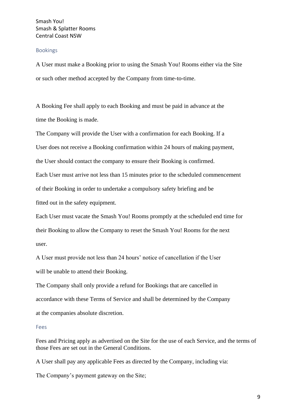#### Bookings

A User must make a Booking prior to using the Smash You! Rooms either via the Site or such other method accepted by the Company from time-to-time.

A Booking Fee shall apply to each Booking and must be paid in advance at the time the Booking is made.

The Company will provide the User with a confirmation for each Booking. If a

User does not receive a Booking confirmation within 24 hours of making payment,

the User should contact the company to ensure their Booking is confirmed.

Each User must arrive not less than 15 minutes prior to the scheduled commencement

of their Booking in order to undertake a compulsory safety briefing and be

fitted out in the safety equipment.

Each User must vacate the Smash You! Rooms promptly at the scheduled end time for their Booking to allow the Company to reset the Smash You! Rooms for the next user.

A User must provide not less than 24 hours' notice of cancellation if the User will be unable to attend their Booking.

The Company shall only provide a refund for Bookings that are cancelled in accordance with these Terms of Service and shall be determined by the Company at the companies absolute discretion.

#### Fees

Fees and Pricing apply as advertised on the Site for the use of each Service, and the terms of those Fees are set out in the General Conditions.

A User shall pay any applicable Fees as directed by the Company, including via:

The Company's payment gateway on the Site;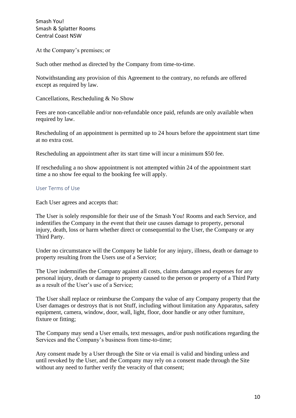At the Company's premises; or

Such other method as directed by the Company from time-to-time.

Notwithstanding any provision of this Agreement to the contrary, no refunds are offered except as required by law.

Cancellations, Rescheduling & No Show

Fees are non-cancellable and/or non-refundable once paid, refunds are only available when required by law.

Rescheduling of an appointment is permitted up to 24 hours before the appointment start time at no extra cost.

Rescheduling an appointment after its start time will incur a minimum \$50 fee.

If rescheduling a no show appointment is not attempted within 24 of the appointment start time a no show fee equal to the booking fee will apply.

## User Terms of Use

Each User agrees and accepts that:

The User is solely responsible for their use of the Smash You! Rooms and each Service, and indentifies the Company in the event that their use causes damage to property, personal injury, death, loss or harm whether direct or consequential to the User, the Company or any Third Party.

Under no circumstance will the Company be liable for any injury, illness, death or damage to property resulting from the Users use of a Service;

The User indemnifies the Company against all costs, claims damages and expenses for any personal injury, death or damage to property caused to the person or property of a Third Party as a result of the User's use of a Service;

The User shall replace or reimburse the Company the value of any Company property that the User damages or destroys that is not Stuff, including without limitation any Apparatus, safety equipment, camera, window, door, wall, light, floor, door handle or any other furniture, fixture or fitting;

The Company may send a User emails, text messages, and/or push notifications regarding the Services and the Company's business from time-to-time;

Any consent made by a User through the Site or via email is valid and binding unless and until revoked by the User, and the Company may rely on a consent made through the Site without any need to further verify the veracity of that consent: